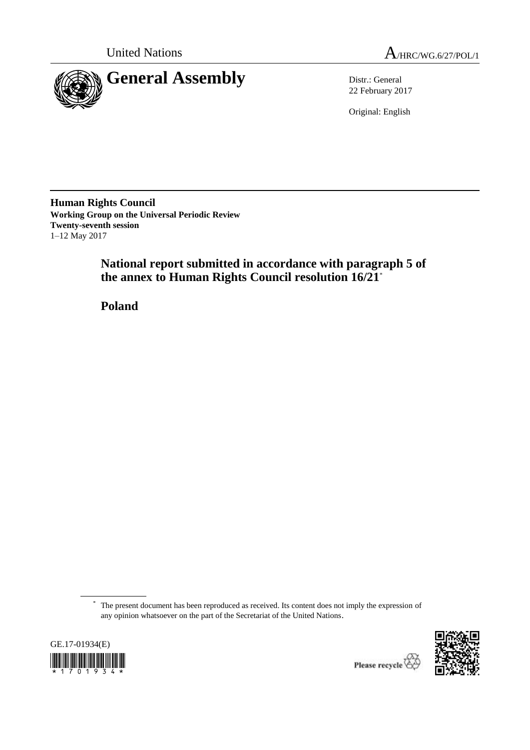



22 February 2017

Original: English

**Human Rights Council Working Group on the Universal Periodic Review Twenty-seventh session** 1–12 May 2017

> **National report submitted in accordance with paragraph 5 of the annex to Human Rights Council resolution 16/21**\*

**Poland**

<sup>\*</sup> The present document has been reproduced as received. Its content does not imply the expression of any opinion whatsoever on the part of the Secretariat of the United Nations.



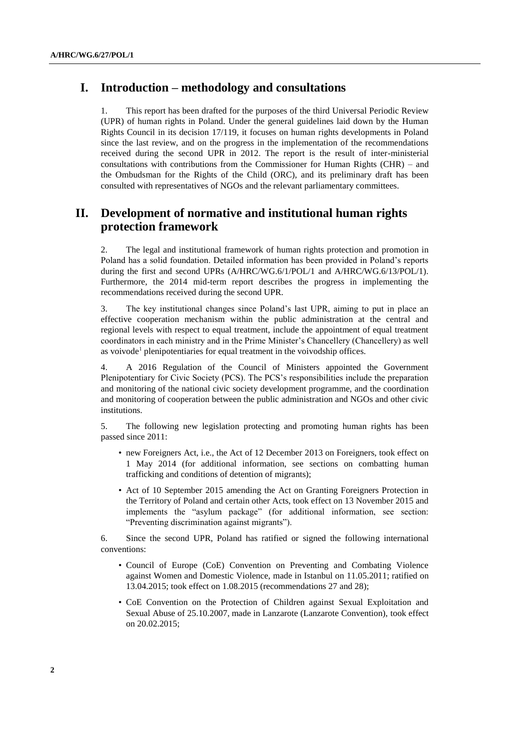# **I. Introduction – methodology and consultations**

1. This report has been drafted for the purposes of the third Universal Periodic Review (UPR) of human rights in Poland. Under the general guidelines laid down by the Human Rights Council in its decision 17/119, it focuses on human rights developments in Poland since the last review, and on the progress in the implementation of the recommendations received during the second UPR in 2012. The report is the result of inter-ministerial consultations with contributions from the Commissioner for Human Rights (CHR) – and the Ombudsman for the Rights of the Child (ORC), and its preliminary draft has been consulted with representatives of NGOs and the relevant parliamentary committees.

# **II. Development of normative and institutional human rights protection framework**

2. The legal and institutional framework of human rights protection and promotion in Poland has a solid foundation. Detailed information has been provided in Poland's reports during the first and second UPRs (A/HRC/WG.6/1/POL/1 and A/HRC/WG.6/13/POL/1). Furthermore, the 2014 mid-term report describes the progress in implementing the recommendations received during the second UPR.

3. The key institutional changes since Poland's last UPR, aiming to put in place an effective cooperation mechanism within the public administration at the central and regional levels with respect to equal treatment, include the appointment of equal treatment coordinators in each ministry and in the Prime Minister's Chancellery (Chancellery) as well as voivode<sup>1</sup> plenipotentiaries for equal treatment in the voivodship offices.

4. A 2016 Regulation of the Council of Ministers appointed the Government Plenipotentiary for Civic Society (PCS). The PCS's responsibilities include the preparation and monitoring of the national civic society development programme, and the coordination and monitoring of cooperation between the public administration and NGOs and other civic institutions.

5. The following new legislation protecting and promoting human rights has been passed since 2011:

- new Foreigners Act, i.e., the Act of 12 December 2013 on Foreigners, took effect on 1 May 2014 (for additional information, see sections on combatting human trafficking and conditions of detention of migrants);
- Act of 10 September 2015 amending the Act on Granting Foreigners Protection in the Territory of Poland and certain other Acts, took effect on 13 November 2015 and implements the "asylum package" (for additional information, see section: "Preventing discrimination against migrants").

6. Since the second UPR, Poland has ratified or signed the following international conventions:

- Council of Europe (CoE) Convention on Preventing and Combating Violence against Women and Domestic Violence, made in Istanbul on 11.05.2011; ratified on 13.04.2015; took effect on 1.08.2015 (recommendations 27 and 28);
- CoE Convention on the Protection of Children against Sexual Exploitation and Sexual Abuse of 25.10.2007, made in Lanzarote (Lanzarote Convention), took effect on 20.02.2015;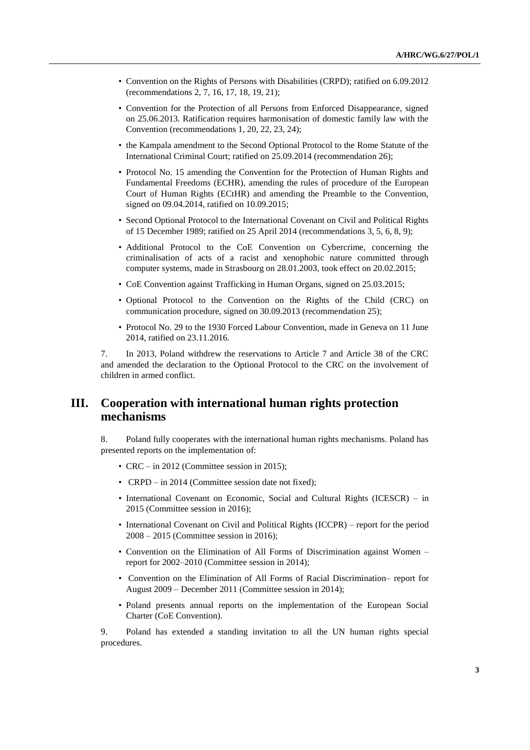- Convention on the Rights of Persons with Disabilities (CRPD); ratified on 6.09.2012 (recommendations 2, 7, 16, 17, 18, 19, 21);
- Convention for the Protection of all Persons from Enforced Disappearance, signed on 25.06.2013. Ratification requires harmonisation of domestic family law with the Convention (recommendations 1, 20, 22, 23, 24);
- the Kampala amendment to the Second Optional Protocol to the Rome Statute of the International Criminal Court; ratified on 25.09.2014 (recommendation 26);
- Protocol No. 15 amending the Convention for the Protection of Human Rights and Fundamental Freedoms (ECHR), amending the rules of procedure of the European Court of Human Rights (ECtHR) and amending the Preamble to the Convention, signed on 09.04.2014, ratified on 10.09.2015;
- Second Optional Protocol to the International Covenant on Civil and Political Rights of 15 December 1989; ratified on 25 April 2014 (recommendations 3, 5, 6, 8, 9);
- Additional Protocol to the CoE Convention on Cybercrime, concerning the criminalisation of acts of a racist and xenophobic nature committed through computer systems, made in Strasbourg on 28.01.2003, took effect on 20.02.2015;
- CoE Convention against Trafficking in Human Organs, signed on 25.03.2015;
- Optional Protocol to the Convention on the Rights of the Child (CRC) on communication procedure, signed on 30.09.2013 (recommendation 25);
- Protocol No. 29 to the 1930 Forced Labour Convention, made in Geneva on 11 June 2014, ratified on 23.11.2016.

7. In 2013, Poland withdrew the reservations to Article 7 and Article 38 of the CRC and amended the declaration to the Optional Protocol to the CRC on the involvement of children in armed conflict.

# **III. Cooperation with international human rights protection mechanisms**

8. Poland fully cooperates with the international human rights mechanisms. Poland has presented reports on the implementation of:

- CRC in 2012 (Committee session in 2015);
- CRPD in 2014 (Committee session date not fixed);
- International Covenant on Economic, Social and Cultural Rights (ICESCR) in 2015 (Committee session in 2016);
- International Covenant on Civil and Political Rights (ICCPR) report for the period 2008 – 2015 (Committee session in 2016);
- Convention on the Elimination of All Forms of Discrimination against Women report for 2002–2010 (Committee session in 2014);
- Convention on the Elimination of All Forms of Racial Discrimination– report for August 2009 – December 2011 (Committee session in 2014);
- Poland presents annual reports on the implementation of the European Social Charter (CoE Convention).

9. Poland has extended a standing invitation to all the UN human rights special procedures.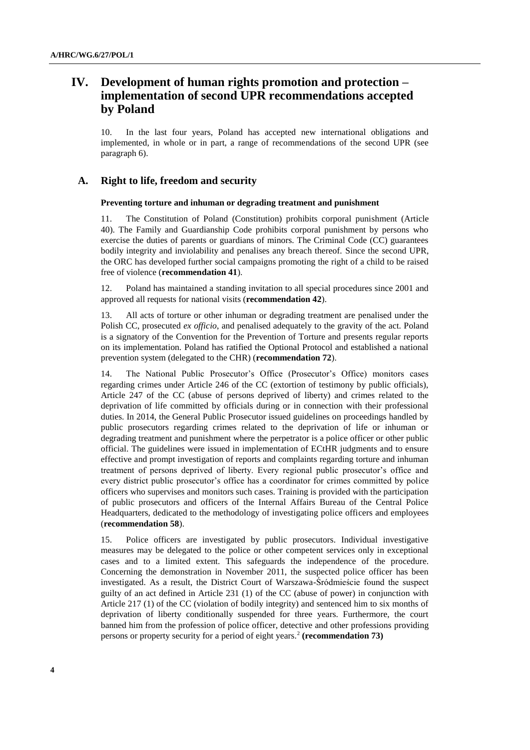# **IV. Development of human rights promotion and protection – implementation of second UPR recommendations accepted by Poland**

10. In the last four years, Poland has accepted new international obligations and implemented, in whole or in part, a range of recommendations of the second UPR (see paragraph 6).

## **A. Right to life, freedom and security**

## **Preventing torture and inhuman or degrading treatment and punishment**

11. The Constitution of Poland (Constitution) prohibits corporal punishment (Article 40). The Family and Guardianship Code prohibits corporal punishment by persons who exercise the duties of parents or guardians of minors. The Criminal Code (CC) guarantees bodily integrity and inviolability and penalises any breach thereof. Since the second UPR, the ORC has developed further social campaigns promoting the right of a child to be raised free of violence (**recommendation 41**).

12. Poland has maintained a standing invitation to all special procedures since 2001 and approved all requests for national visits (**recommendation 42**).

13. All acts of torture or other inhuman or degrading treatment are penalised under the Polish CC, prosecuted *ex officio*, and penalised adequately to the gravity of the act. Poland is a signatory of the Convention for the Prevention of Torture and presents regular reports on its implementation. Poland has ratified the Optional Protocol and established a national prevention system (delegated to the CHR) (**recommendation 72**).

14. The National Public Prosecutor's Office (Prosecutor's Office) monitors cases regarding crimes under Article 246 of the CC (extortion of testimony by public officials), Article 247 of the CC (abuse of persons deprived of liberty) and crimes related to the deprivation of life committed by officials during or in connection with their professional duties. In 2014, the General Public Prosecutor issued guidelines on proceedings handled by public prosecutors regarding crimes related to the deprivation of life or inhuman or degrading treatment and punishment where the perpetrator is a police officer or other public official. The guidelines were issued in implementation of ECtHR judgments and to ensure effective and prompt investigation of reports and complaints regarding torture and inhuman treatment of persons deprived of liberty. Every regional public prosecutor's office and every district public prosecutor's office has a coordinator for crimes committed by police officers who supervises and monitors such cases. Training is provided with the participation of public prosecutors and officers of the Internal Affairs Bureau of the Central Police Headquarters, dedicated to the methodology of investigating police officers and employees (**recommendation 58**).

15. Police officers are investigated by public prosecutors. Individual investigative measures may be delegated to the police or other competent services only in exceptional cases and to a limited extent. This safeguards the independence of the procedure. Concerning the demonstration in November 2011, the suspected police officer has been investigated. As a result, the District Court of Warszawa-Śródmieście found the suspect guilty of an act defined in Article 231 (1) of the CC (abuse of power) in conjunction with Article 217 (1) of the CC (violation of bodily integrity) and sentenced him to six months of deprivation of liberty conditionally suspended for three years. Furthermore, the court banned him from the profession of police officer, detective and other professions providing persons or property security for a period of eight years.<sup>2</sup> (recommendation 73)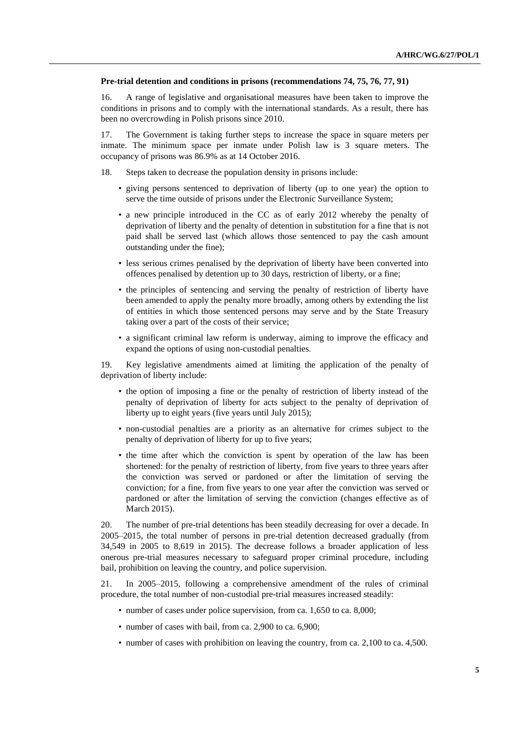#### **Pre-trial detention and conditions in prisons (recommendations 74, 75, 76, 77, 91)**

16. A range of legislative and organisational measures have been taken to improve the conditions in prisons and to comply with the international standards. As a result, there has been no overcrowding in Polish prisons since 2010.

17. The Government is taking further steps to increase the space in square meters per inmate. The minimum space per inmate under Polish law is 3 square meters. The occupancy of prisons was 86.9% as at 14 October 2016.

- 18. Steps taken to decrease the population density in prisons include:
	- giving persons sentenced to deprivation of liberty (up to one year) the option to serve the time outside of prisons under the Electronic Surveillance System;
	- a new principle introduced in the CC as of early 2012 whereby the penalty of deprivation of liberty and the penalty of detention in substitution for a fine that is not paid shall be served last (which allows those sentenced to pay the cash amount outstanding under the fine);
	- less serious crimes penalised by the deprivation of liberty have been converted into offences penalised by detention up to 30 days, restriction of liberty, or a fine;
	- the principles of sentencing and serving the penalty of restriction of liberty have been amended to apply the penalty more broadly, among others by extending the list of entities in which those sentenced persons may serve and by the State Treasury taking over a part of the costs of their service;
	- a significant criminal law reform is underway, aiming to improve the efficacy and expand the options of using non-custodial penalties.

19. Key legislative amendments aimed at limiting the application of the penalty of deprivation of liberty include:

- the option of imposing a fine or the penalty of restriction of liberty instead of the penalty of deprivation of liberty for acts subject to the penalty of deprivation of liberty up to eight years (five years until July 2015);
- non-custodial penalties are a priority as an alternative for crimes subject to the penalty of deprivation of liberty for up to five years;
- the time after which the conviction is spent by operation of the law has been shortened: for the penalty of restriction of liberty, from five years to three years after the conviction was served or pardoned or after the limitation of serving the conviction; for a fine, from five years to one year after the conviction was served or pardoned or after the limitation of serving the conviction (changes effective as of March 2015).

20. The number of pre-trial detentions has been steadily decreasing for over a decade. In 2005–2015, the total number of persons in pre-trial detention decreased gradually (from 34,549 in 2005 to 8,619 in 2015). The decrease follows a broader application of less onerous pre-trial measures necessary to safeguard proper criminal procedure, including bail, prohibition on leaving the country, and police supervision.

21. In 2005–2015, following a comprehensive amendment of the rules of criminal procedure, the total number of non-custodial pre-trial measures increased steadily:

- number of cases under police supervision, from ca. 1,650 to ca. 8,000;
- number of cases with bail, from ca. 2,900 to ca. 6,900;
- number of cases with prohibition on leaving the country, from ca. 2,100 to ca. 4,500.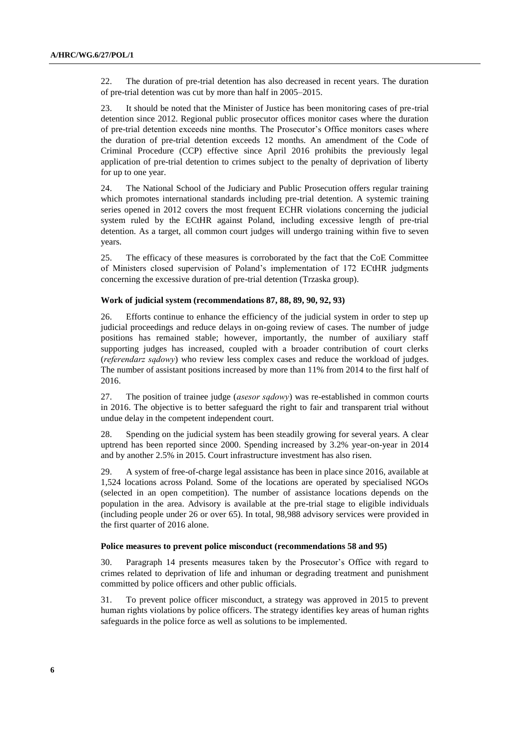22. The duration of pre-trial detention has also decreased in recent years. The duration of pre-trial detention was cut by more than half in 2005–2015.

23. It should be noted that the Minister of Justice has been monitoring cases of pre-trial detention since 2012. Regional public prosecutor offices monitor cases where the duration of pre-trial detention exceeds nine months. The Prosecutor's Office monitors cases where the duration of pre-trial detention exceeds 12 months. An amendment of the Code of Criminal Procedure (CCP) effective since April 2016 prohibits the previously legal application of pre-trial detention to crimes subject to the penalty of deprivation of liberty for up to one year.

24. The National School of the Judiciary and Public Prosecution offers regular training which promotes international standards including pre-trial detention. A systemic training series opened in 2012 covers the most frequent ECHR violations concerning the judicial system ruled by the ECtHR against Poland, including excessive length of pre-trial detention. As a target, all common court judges will undergo training within five to seven years.

25. The efficacy of these measures is corroborated by the fact that the CoE Committee of Ministers closed supervision of Poland's implementation of 172 ECtHR judgments concerning the excessive duration of pre-trial detention (Trzaska group).

### **Work of judicial system (recommendations 87, 88, 89, 90, 92, 93)**

26. Efforts continue to enhance the efficiency of the judicial system in order to step up judicial proceedings and reduce delays in on-going review of cases. The number of judge positions has remained stable; however, importantly, the number of auxiliary staff supporting judges has increased, coupled with a broader contribution of court clerks (*referendarz sądowy*) who review less complex cases and reduce the workload of judges. The number of assistant positions increased by more than 11% from 2014 to the first half of 2016.

27. The position of trainee judge (*asesor sądowy*) was re-established in common courts in 2016. The objective is to better safeguard the right to fair and transparent trial without undue delay in the competent independent court.

28. Spending on the judicial system has been steadily growing for several years. A clear uptrend has been reported since 2000. Spending increased by 3.2% year-on-year in 2014 and by another 2.5% in 2015. Court infrastructure investment has also risen.

29. A system of free-of-charge legal assistance has been in place since 2016, available at 1,524 locations across Poland. Some of the locations are operated by specialised NGOs (selected in an open competition). The number of assistance locations depends on the population in the area. Advisory is available at the pre-trial stage to eligible individuals (including people under 26 or over 65). In total, 98,988 advisory services were provided in the first quarter of 2016 alone.

#### **Police measures to prevent police misconduct (recommendations 58 and 95)**

30. Paragraph 14 presents measures taken by the Prosecutor's Office with regard to crimes related to deprivation of life and inhuman or degrading treatment and punishment committed by police officers and other public officials.

31. To prevent police officer misconduct, a strategy was approved in 2015 to prevent human rights violations by police officers. The strategy identifies key areas of human rights safeguards in the police force as well as solutions to be implemented.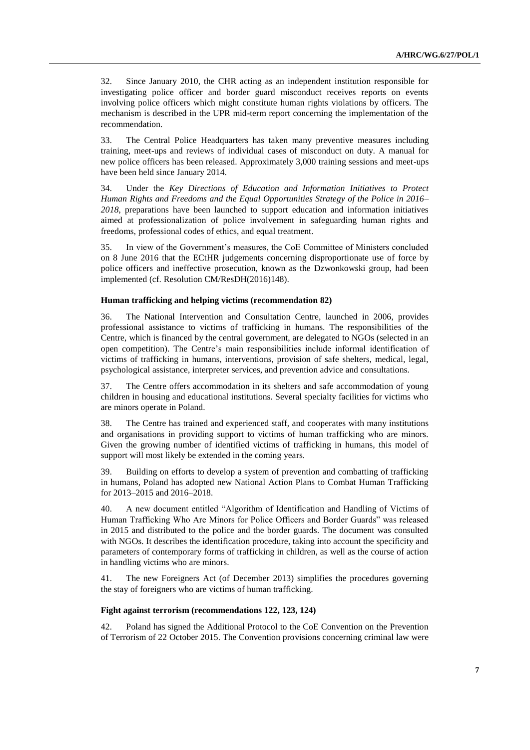32. Since January 2010, the CHR acting as an independent institution responsible for investigating police officer and border guard misconduct receives reports on events involving police officers which might constitute human rights violations by officers. The mechanism is described in the UPR mid-term report concerning the implementation of the recommendation.

33. The Central Police Headquarters has taken many preventive measures including training, meet-ups and reviews of individual cases of misconduct on duty. A manual for new police officers has been released. Approximately 3,000 training sessions and meet-ups have been held since January 2014.

34. Under the *Key Directions of Education and Information Initiatives to Protect Human Rights and Freedoms and the Equal Opportunities Strategy of the Police in 2016– 2018*, preparations have been launched to support education and information initiatives aimed at professionalization of police involvement in safeguarding human rights and freedoms, professional codes of ethics, and equal treatment.

35. In view of the Government's measures, the CoE Committee of Ministers concluded on 8 June 2016 that the ECtHR judgements concerning disproportionate use of force by police officers and ineffective prosecution, known as the Dzwonkowski group, had been implemented (cf. Resolution CM/ResDH(2016)148).

#### **Human trafficking and helping victims (recommendation 82)**

36. The National Intervention and Consultation Centre, launched in 2006, provides professional assistance to victims of trafficking in humans. The responsibilities of the Centre, which is financed by the central government, are delegated to NGOs (selected in an open competition). The Centre's main responsibilities include informal identification of victims of trafficking in humans, interventions, provision of safe shelters, medical, legal, psychological assistance, interpreter services, and prevention advice and consultations.

37. The Centre offers accommodation in its shelters and safe accommodation of young children in housing and educational institutions. Several specialty facilities for victims who are minors operate in Poland.

38. The Centre has trained and experienced staff, and cooperates with many institutions and organisations in providing support to victims of human trafficking who are minors. Given the growing number of identified victims of trafficking in humans, this model of support will most likely be extended in the coming years.

39. Building on efforts to develop a system of prevention and combatting of trafficking in humans, Poland has adopted new National Action Plans to Combat Human Trafficking for 2013–2015 and 2016–2018.

40. A new document entitled "Algorithm of Identification and Handling of Victims of Human Trafficking Who Are Minors for Police Officers and Border Guards" was released in 2015 and distributed to the police and the border guards. The document was consulted with NGOs. It describes the identification procedure, taking into account the specificity and parameters of contemporary forms of trafficking in children, as well as the course of action in handling victims who are minors.

41. The new Foreigners Act (of December 2013) simplifies the procedures governing the stay of foreigners who are victims of human trafficking.

### **Fight against terrorism (recommendations 122, 123, 124)**

42. Poland has signed the Additional Protocol to the CoE Convention on the Prevention of Terrorism of 22 October 2015. The Convention provisions concerning criminal law were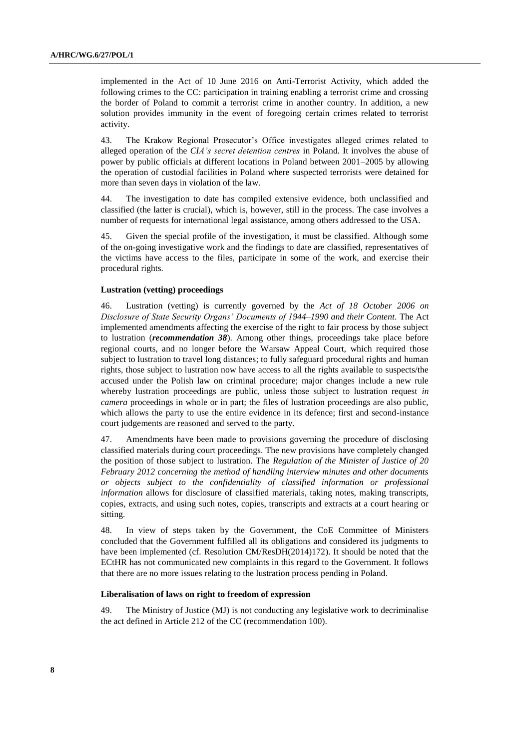implemented in the Act of 10 June 2016 on Anti-Terrorist Activity, which added the following crimes to the CC: participation in training enabling a terrorist crime and crossing the border of Poland to commit a terrorist crime in another country. In addition, a new solution provides immunity in the event of foregoing certain crimes related to terrorist activity.

43. The Krakow Regional Prosecutor's Office investigates alleged crimes related to alleged operation of the *CIA's secret detention centres* in Poland. It involves the abuse of power by public officials at different locations in Poland between 2001–2005 by allowing the operation of custodial facilities in Poland where suspected terrorists were detained for more than seven days in violation of the law.

44. The investigation to date has compiled extensive evidence, both unclassified and classified (the latter is crucial), which is, however, still in the process. The case involves a number of requests for international legal assistance, among others addressed to the USA.

45. Given the special profile of the investigation, it must be classified. Although some of the on-going investigative work and the findings to date are classified, representatives of the victims have access to the files, participate in some of the work, and exercise their procedural rights.

#### **Lustration (vetting) proceedings**

46. Lustration (vetting) is currently governed by the *Act of 18 October 2006 on Disclosure of State Security Organs' Documents of 1944*–*1990 and their Content*. The Act implemented amendments affecting the exercise of the right to fair process by those subject to lustration (*recommendation 38*). Among other things, proceedings take place before regional courts, and no longer before the Warsaw Appeal Court, which required those subject to lustration to travel long distances; to fully safeguard procedural rights and human rights, those subject to lustration now have access to all the rights available to suspects/the accused under the Polish law on criminal procedure; major changes include a new rule whereby lustration proceedings are public, unless those subject to lustration request *in camera* proceedings in whole or in part; the files of lustration proceedings are also public, which allows the party to use the entire evidence in its defence; first and second-instance court judgements are reasoned and served to the party.

47. Amendments have been made to provisions governing the procedure of disclosing classified materials during court proceedings. The new provisions have completely changed the position of those subject to lustration. The *Regulation of the Minister of Justice of 20 February 2012 concerning the method of handling interview minutes and other documents or objects subject to the confidentiality of classified information or professional information* allows for disclosure of classified materials, taking notes, making transcripts, copies, extracts, and using such notes, copies, transcripts and extracts at a court hearing or sitting.

48. In view of steps taken by the Government, the CoE Committee of Ministers concluded that the Government fulfilled all its obligations and considered its judgments to have been implemented (cf. Resolution CM/ResDH(2014)172). It should be noted that the ECtHR has not communicated new complaints in this regard to the Government. It follows that there are no more issues relating to the lustration process pending in Poland.

#### **Liberalisation of laws on right to freedom of expression**

49. The Ministry of Justice (MJ) is not conducting any legislative work to decriminalise the act defined in Article 212 of the CC (recommendation 100).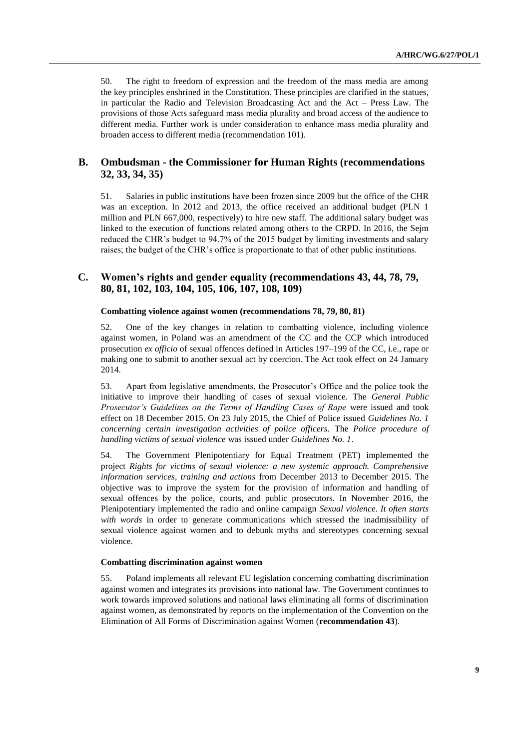50. The right to freedom of expression and the freedom of the mass media are among the key principles enshrined in the Constitution. These principles are clarified in the statues, in particular the Radio and Television Broadcasting Act and the Act – Press Law. The provisions of those Acts safeguard mass media plurality and broad access of the audience to different media. Further work is under consideration to enhance mass media plurality and broaden access to different media (recommendation 101).

## **B. Ombudsman - the Commissioner for Human Rights (recommendations 32, 33, 34, 35)**

51. Salaries in public institutions have been frozen since 2009 but the office of the CHR was an exception. In 2012 and 2013, the office received an additional budget (PLN 1 million and PLN 667,000, respectively) to hire new staff. The additional salary budget was linked to the execution of functions related among others to the CRPD. In 2016, the Sejm reduced the CHR's budget to 94.7% of the 2015 budget by limiting investments and salary raises; the budget of the CHR's office is proportionate to that of other public institutions.

## **C. Women's rights and gender equality (recommendations 43, 44, 78, 79, 80, 81, 102, 103, 104, 105, 106, 107, 108, 109)**

#### **Combatting violence against women (recommendations 78, 79, 80, 81)**

52. One of the key changes in relation to combatting violence, including violence against women, in Poland was an amendment of the CC and the CCP which introduced prosecution *ex officio* of sexual offences defined in Articles 197–199 of the CC, i.e., rape or making one to submit to another sexual act by coercion. The Act took effect on 24 January 2014.

53. Apart from legislative amendments, the Prosecutor's Office and the police took the initiative to improve their handling of cases of sexual violence. The *General Public Prosecutor's Guidelines on the Terms of Handling Cases of Rape* were issued and took effect on 18 December 2015. On 23 July 2015, the Chief of Police issued *Guidelines No. 1 concerning certain investigation activities of police officers*. The *Police procedure of handling victims of sexual violence* was issued under *Guidelines No. 1*.

54. The Government Plenipotentiary for Equal Treatment (PET) implemented the project *Rights for victims of sexual violence: a new systemic approach. Comprehensive information services, training and actions* from December 2013 to December 2015. The objective was to improve the system for the provision of information and handling of sexual offences by the police, courts, and public prosecutors. In November 2016, the Plenipotentiary implemented the radio and online campaign *Sexual violence. It often starts with words* in order to generate communications which stressed the inadmissibility of sexual violence against women and to debunk myths and stereotypes concerning sexual violence.

#### **Combatting discrimination against women**

55. Poland implements all relevant EU legislation concerning combatting discrimination against women and integrates its provisions into national law. The Government continues to work towards improved solutions and national laws eliminating all forms of discrimination against women, as demonstrated by reports on the implementation of the Convention on the Elimination of All Forms of Discrimination against Women (**recommendation 43**).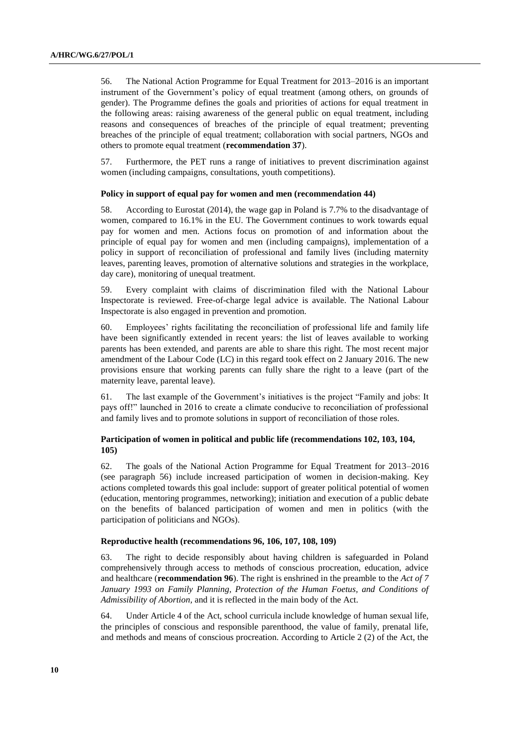56. The National Action Programme for Equal Treatment for 2013–2016 is an important instrument of the Government's policy of equal treatment (among others, on grounds of gender). The Programme defines the goals and priorities of actions for equal treatment in the following areas: raising awareness of the general public on equal treatment, including reasons and consequences of breaches of the principle of equal treatment; preventing breaches of the principle of equal treatment; collaboration with social partners, NGOs and others to promote equal treatment (**recommendation 37**).

57. Furthermore, the PET runs a range of initiatives to prevent discrimination against women (including campaigns, consultations, youth competitions).

#### **Policy in support of equal pay for women and men (recommendation 44)**

58. According to Eurostat (2014), the wage gap in Poland is 7.7% to the disadvantage of women, compared to 16.1% in the EU. The Government continues to work towards equal pay for women and men. Actions focus on promotion of and information about the principle of equal pay for women and men (including campaigns), implementation of a policy in support of reconciliation of professional and family lives (including maternity leaves, parenting leaves, promotion of alternative solutions and strategies in the workplace, day care), monitoring of unequal treatment.

59. Every complaint with claims of discrimination filed with the National Labour Inspectorate is reviewed. Free-of-charge legal advice is available. The National Labour Inspectorate is also engaged in prevention and promotion.

60. Employees' rights facilitating the reconciliation of professional life and family life have been significantly extended in recent years: the list of leaves available to working parents has been extended, and parents are able to share this right. The most recent major amendment of the Labour Code (LC) in this regard took effect on 2 January 2016. The new provisions ensure that working parents can fully share the right to a leave (part of the maternity leave, parental leave).

61. The last example of the Government's initiatives is the project "Family and jobs: It pays off!" launched in 2016 to create a climate conducive to reconciliation of professional and family lives and to promote solutions in support of reconciliation of those roles.

## **Participation of women in political and public life (recommendations 102, 103, 104, 105)**

62. The goals of the National Action Programme for Equal Treatment for 2013–2016 (see paragraph 56) include increased participation of women in decision-making. Key actions completed towards this goal include: support of greater political potential of women (education, mentoring programmes, networking); initiation and execution of a public debate on the benefits of balanced participation of women and men in politics (with the participation of politicians and NGOs).

#### **Reproductive health (recommendations 96, 106, 107, 108, 109)**

63. The right to decide responsibly about having children is safeguarded in Poland comprehensively through access to methods of conscious procreation, education, advice and healthcare (**recommendation 96**). The right is enshrined in the preamble to the *Act of 7*  January 1993 on Family Planning, Protection of the Human Foetus, and Conditions of *Admissibility of Abortion,* and it is reflected in the main body of the Act.

64. Under Article 4 of the Act, school curricula include knowledge of human sexual life, the principles of conscious and responsible parenthood, the value of family, prenatal life, and methods and means of conscious procreation. According to Article 2 (2) of the Act, the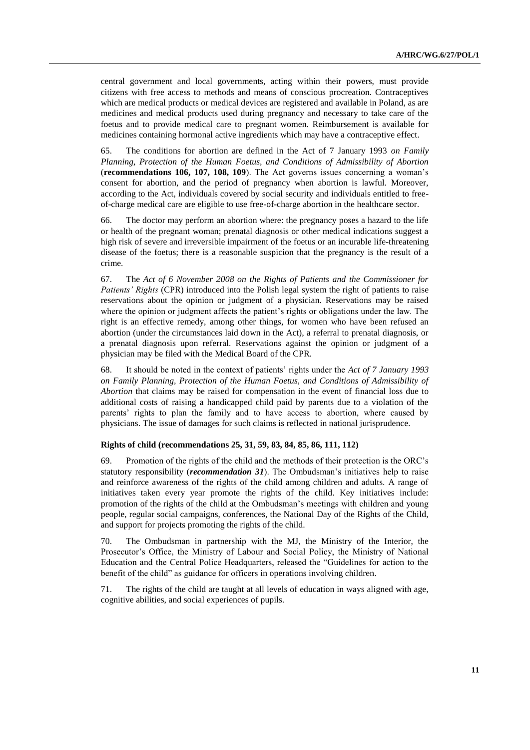central government and local governments, acting within their powers, must provide citizens with free access to methods and means of conscious procreation. Contraceptives which are medical products or medical devices are registered and available in Poland, as are medicines and medical products used during pregnancy and necessary to take care of the foetus and to provide medical care to pregnant women. Reimbursement is available for medicines containing hormonal active ingredients which may have a contraceptive effect.

65. The conditions for abortion are defined in the Act of 7 January 1993 *on Family Planning, Protection of the Human Foetus, and Conditions of Admissibility of Abortion* (**recommendations 106, 107, 108, 109**). The Act governs issues concerning a woman's consent for abortion, and the period of pregnancy when abortion is lawful. Moreover, according to the Act, individuals covered by social security and individuals entitled to freeof-charge medical care are eligible to use free-of-charge abortion in the healthcare sector.

66. The doctor may perform an abortion where: the pregnancy poses a hazard to the life or health of the pregnant woman; prenatal diagnosis or other medical indications suggest a high risk of severe and irreversible impairment of the foetus or an incurable life-threatening disease of the foetus; there is a reasonable suspicion that the pregnancy is the result of a crime.

67. The *Act of 6 November 2008 on the Rights of Patients and the Commissioner for Patients' Rights* (CPR) introduced into the Polish legal system the right of patients to raise reservations about the opinion or judgment of a physician. Reservations may be raised where the opinion or judgment affects the patient's rights or obligations under the law. The right is an effective remedy, among other things, for women who have been refused an abortion (under the circumstances laid down in the Act), a referral to prenatal diagnosis, or a prenatal diagnosis upon referral. Reservations against the opinion or judgment of a physician may be filed with the Medical Board of the CPR.

68. It should be noted in the context of patients' rights under the *Act of 7 January 1993 on Family Planning, Protection of the Human Foetus, and Conditions of Admissibility of Abortion* that claims may be raised for compensation in the event of financial loss due to additional costs of raising a handicapped child paid by parents due to a violation of the parents' rights to plan the family and to have access to abortion, where caused by physicians. The issue of damages for such claims is reflected in national jurisprudence.

### **Rights of child (recommendations 25, 31, 59, 83, 84, 85, 86, 111, 112)**

69. Promotion of the rights of the child and the methods of their protection is the ORC's statutory responsibility (*recommendation 31*). The Ombudsman's initiatives help to raise and reinforce awareness of the rights of the child among children and adults. A range of initiatives taken every year promote the rights of the child. Key initiatives include: promotion of the rights of the child at the Ombudsman's meetings with children and young people, regular social campaigns, conferences, the National Day of the Rights of the Child, and support for projects promoting the rights of the child.

70. The Ombudsman in partnership with the MJ, the Ministry of the Interior, the Prosecutor's Office, the Ministry of Labour and Social Policy, the Ministry of National Education and the Central Police Headquarters, released the "Guidelines for action to the benefit of the child" as guidance for officers in operations involving children.

71. The rights of the child are taught at all levels of education in ways aligned with age, cognitive abilities, and social experiences of pupils.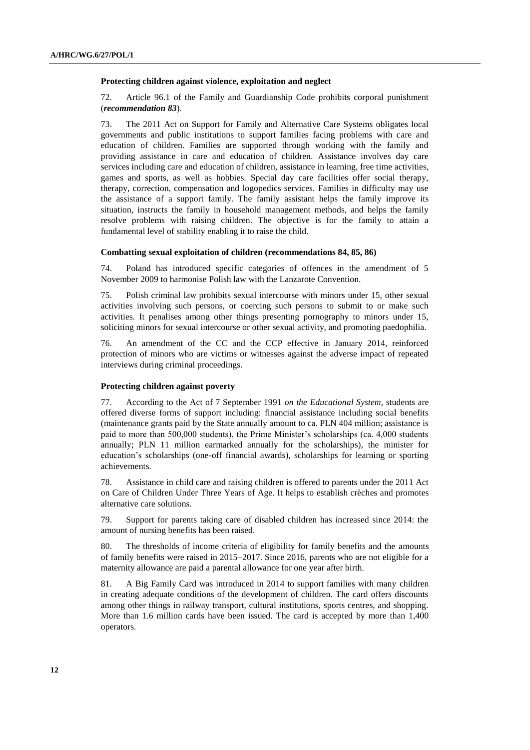#### **Protecting children against violence, exploitation and neglect**

72. Article 96.1 of the Family and Guardianship Code prohibits corporal punishment (*recommendation 83*).

73. The 2011 Act on Support for Family and Alternative Care Systems obligates local governments and public institutions to support families facing problems with care and education of children. Families are supported through working with the family and providing assistance in care and education of children. Assistance involves day care services including care and education of children, assistance in learning, free time activities, games and sports, as well as hobbies. Special day care facilities offer social therapy, therapy, correction, compensation and logopedics services. Families in difficulty may use the assistance of a support family. The family assistant helps the family improve its situation, instructs the family in household management methods, and helps the family resolve problems with raising children. The objective is for the family to attain a fundamental level of stability enabling it to raise the child.

#### **Combatting sexual exploitation of children (recommendations 84, 85, 86)**

74. Poland has introduced specific categories of offences in the amendment of 5 November 2009 to harmonise Polish law with the Lanzarote Convention.

75. Polish criminal law prohibits sexual intercourse with minors under 15, other sexual activities involving such persons, or coercing such persons to submit to or make such activities. It penalises among other things presenting pornography to minors under 15, soliciting minors for sexual intercourse or other sexual activity, and promoting paedophilia.

76. An amendment of the CC and the CCP effective in January 2014, reinforced protection of minors who are victims or witnesses against the adverse impact of repeated interviews during criminal proceedings.

### **Protecting children against poverty**

77. According to the Act of 7 September 1991 *on the Educational System*, students are offered diverse forms of support including: financial assistance including social benefits (maintenance grants paid by the State annually amount to ca. PLN 404 million; assistance is paid to more than 500,000 students), the Prime Minister's scholarships (ca. 4,000 students annually; PLN 11 million earmarked annually for the scholarships), the minister for education's scholarships (one-off financial awards), scholarships for learning or sporting achievements.

78. Assistance in child care and raising children is offered to parents under the 2011 Act on Care of Children Under Three Years of Age. It helps to establish crèches and promotes alternative care solutions.

79. Support for parents taking care of disabled children has increased since 2014: the amount of nursing benefits has been raised.

80. The thresholds of income criteria of eligibility for family benefits and the amounts of family benefits were raised in 2015–2017. Since 2016, parents who are not eligible for a maternity allowance are paid a parental allowance for one year after birth.

81. A Big Family Card was introduced in 2014 to support families with many children in creating adequate conditions of the development of children. The card offers discounts among other things in railway transport, cultural institutions, sports centres, and shopping. More than 1.6 million cards have been issued. The card is accepted by more than 1,400 operators.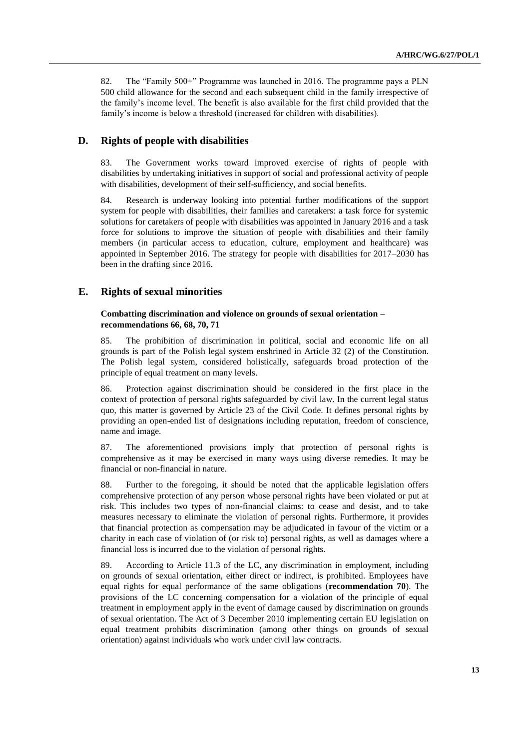82. The "Family 500+" Programme was launched in 2016. The programme pays a PLN 500 child allowance for the second and each subsequent child in the family irrespective of the family's income level. The benefit is also available for the first child provided that the family's income is below a threshold (increased for children with disabilities).

## **D. Rights of people with disabilities**

83. The Government works toward improved exercise of rights of people with disabilities by undertaking initiatives in support of social and professional activity of people with disabilities, development of their self-sufficiency, and social benefits.

84. Research is underway looking into potential further modifications of the support system for people with disabilities, their families and caretakers: a task force for systemic solutions for caretakers of people with disabilities was appointed in January 2016 and a task force for solutions to improve the situation of people with disabilities and their family members (in particular access to education, culture, employment and healthcare) was appointed in September 2016. The strategy for people with disabilities for 2017–2030 has been in the drafting since 2016.

## **E. Rights of sexual minorities**

### **Combatting discrimination and violence on grounds of sexual orientation – recommendations 66, 68, 70, 71**

85. The prohibition of discrimination in political, social and economic life on all grounds is part of the Polish legal system enshrined in Article 32 (2) of the Constitution. The Polish legal system, considered holistically, safeguards broad protection of the principle of equal treatment on many levels.

86. Protection against discrimination should be considered in the first place in the context of protection of personal rights safeguarded by civil law. In the current legal status quo, this matter is governed by Article 23 of the Civil Code. It defines personal rights by providing an open-ended list of designations including reputation, freedom of conscience, name and image.

87. The aforementioned provisions imply that protection of personal rights is comprehensive as it may be exercised in many ways using diverse remedies. It may be financial or non-financial in nature.

88. Further to the foregoing, it should be noted that the applicable legislation offers comprehensive protection of any person whose personal rights have been violated or put at risk. This includes two types of non-financial claims: to cease and desist, and to take measures necessary to eliminate the violation of personal rights. Furthermore, it provides that financial protection as compensation may be adjudicated in favour of the victim or a charity in each case of violation of (or risk to) personal rights, as well as damages where a financial loss is incurred due to the violation of personal rights.

89. According to Article 11.3 of the LC, any discrimination in employment, including on grounds of sexual orientation, either direct or indirect, is prohibited. Employees have equal rights for equal performance of the same obligations (**recommendation 70**). The provisions of the LC concerning compensation for a violation of the principle of equal treatment in employment apply in the event of damage caused by discrimination on grounds of sexual orientation. The Act of 3 December 2010 implementing certain EU legislation on equal treatment prohibits discrimination (among other things on grounds of sexual orientation) against individuals who work under civil law contracts.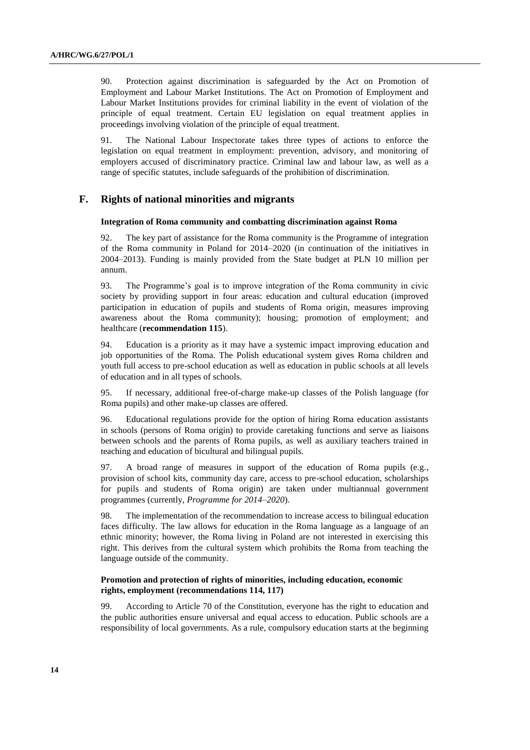90. Protection against discrimination is safeguarded by the Act on Promotion of Employment and Labour Market Institutions. The Act on Promotion of Employment and Labour Market Institutions provides for criminal liability in the event of violation of the principle of equal treatment. Certain EU legislation on equal treatment applies in proceedings involving violation of the principle of equal treatment.

91. The National Labour Inspectorate takes three types of actions to enforce the legislation on equal treatment in employment: prevention, advisory, and monitoring of employers accused of discriminatory practice. Criminal law and labour law, as well as a range of specific statutes, include safeguards of the prohibition of discrimination.

## **F. Rights of national minorities and migrants**

#### **Integration of Roma community and combatting discrimination against Roma**

92. The key part of assistance for the Roma community is the Programme of integration of the Roma community in Poland for 2014–2020 (in continuation of the initiatives in 2004–2013). Funding is mainly provided from the State budget at PLN 10 million per annum.

93. The Programme's goal is to improve integration of the Roma community in civic society by providing support in four areas: education and cultural education (improved participation in education of pupils and students of Roma origin, measures improving awareness about the Roma community); housing; promotion of employment; and healthcare (**recommendation 115**).

94. Education is a priority as it may have a systemic impact improving education and job opportunities of the Roma. The Polish educational system gives Roma children and youth full access to pre-school education as well as education in public schools at all levels of education and in all types of schools.

95. If necessary, additional free-of-charge make-up classes of the Polish language (for Roma pupils) and other make-up classes are offered.

96. Educational regulations provide for the option of hiring Roma education assistants in schools (persons of Roma origin) to provide caretaking functions and serve as liaisons between schools and the parents of Roma pupils, as well as auxiliary teachers trained in teaching and education of bicultural and bilingual pupils.

97. A broad range of measures in support of the education of Roma pupils (e.g., provision of school kits, community day care, access to pre-school education, scholarships for pupils and students of Roma origin) are taken under multiannual government programmes (currently, *Programme for 2014–2020*).

98. The implementation of the recommendation to increase access to bilingual education faces difficulty. The law allows for education in the Roma language as a language of an ethnic minority; however, the Roma living in Poland are not interested in exercising this right. This derives from the cultural system which prohibits the Roma from teaching the language outside of the community.

### **Promotion and protection of rights of minorities, including education, economic rights, employment (recommendations 114, 117)**

99. According to Article 70 of the Constitution, everyone has the right to education and the public authorities ensure universal and equal access to education. Public schools are a responsibility of local governments. As a rule, compulsory education starts at the beginning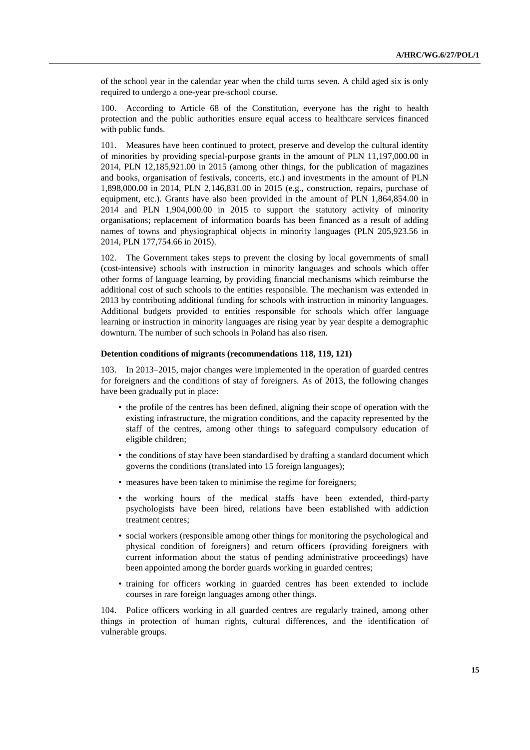of the school year in the calendar year when the child turns seven. A child aged six is only required to undergo a one-year pre-school course.

100. According to Article 68 of the Constitution, everyone has the right to health protection and the public authorities ensure equal access to healthcare services financed with public funds.

101. Measures have been continued to protect, preserve and develop the cultural identity of minorities by providing special-purpose grants in the amount of PLN 11,197,000.00 in 2014, PLN 12,185,921.00 in 2015 (among other things, for the publication of magazines and books, organisation of festivals, concerts, etc.) and investments in the amount of PLN 1,898,000.00 in 2014, PLN 2,146,831.00 in 2015 (e.g., construction, repairs, purchase of equipment, etc.). Grants have also been provided in the amount of PLN 1,864,854.00 in 2014 and PLN 1,904,000.00 in 2015 to support the statutory activity of minority organisations; replacement of information boards has been financed as a result of adding names of towns and physiographical objects in minority languages (PLN 205,923.56 in 2014, PLN 177,754.66 in 2015).

102. The Government takes steps to prevent the closing by local governments of small (cost-intensive) schools with instruction in minority languages and schools which offer other forms of language learning, by providing financial mechanisms which reimburse the additional cost of such schools to the entities responsible. The mechanism was extended in 2013 by contributing additional funding for schools with instruction in minority languages. Additional budgets provided to entities responsible for schools which offer language learning or instruction in minority languages are rising year by year despite a demographic downturn. The number of such schools in Poland has also risen.

#### **Detention conditions of migrants (recommendations 118, 119, 121)**

103. In 2013–2015, major changes were implemented in the operation of guarded centres for foreigners and the conditions of stay of foreigners. As of 2013, the following changes have been gradually put in place:

- the profile of the centres has been defined, aligning their scope of operation with the existing infrastructure, the migration conditions, and the capacity represented by the staff of the centres, among other things to safeguard compulsory education of eligible children;
- the conditions of stay have been standardised by drafting a standard document which governs the conditions (translated into 15 foreign languages);
- measures have been taken to minimise the regime for foreigners;
- the working hours of the medical staffs have been extended, third-party psychologists have been hired, relations have been established with addiction treatment centres;
- social workers (responsible among other things for monitoring the psychological and physical condition of foreigners) and return officers (providing foreigners with current information about the status of pending administrative proceedings) have been appointed among the border guards working in guarded centres;
- training for officers working in guarded centres has been extended to include courses in rare foreign languages among other things.

104. Police officers working in all guarded centres are regularly trained, among other things in protection of human rights, cultural differences, and the identification of vulnerable groups.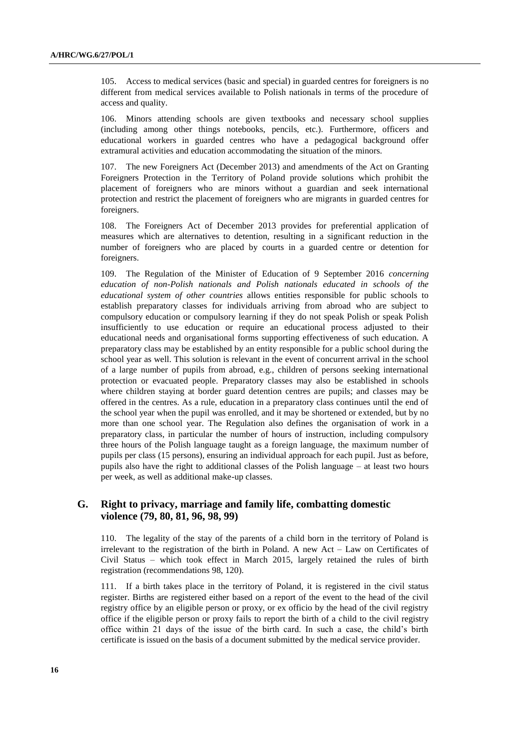105. Access to medical services (basic and special) in guarded centres for foreigners is no different from medical services available to Polish nationals in terms of the procedure of access and quality.

106. Minors attending schools are given textbooks and necessary school supplies (including among other things notebooks, pencils, etc.). Furthermore, officers and educational workers in guarded centres who have a pedagogical background offer extramural activities and education accommodating the situation of the minors.

107. The new Foreigners Act (December 2013) and amendments of the Act on Granting Foreigners Protection in the Territory of Poland provide solutions which prohibit the placement of foreigners who are minors without a guardian and seek international protection and restrict the placement of foreigners who are migrants in guarded centres for foreigners.

108. The Foreigners Act of December 2013 provides for preferential application of measures which are alternatives to detention, resulting in a significant reduction in the number of foreigners who are placed by courts in a guarded centre or detention for foreigners.

109. The Regulation of the Minister of Education of 9 September 2016 *concerning education of non-Polish nationals and Polish nationals educated in schools of the educational system of other countries* allows entities responsible for public schools to establish preparatory classes for individuals arriving from abroad who are subject to compulsory education or compulsory learning if they do not speak Polish or speak Polish insufficiently to use education or require an educational process adjusted to their educational needs and organisational forms supporting effectiveness of such education. A preparatory class may be established by an entity responsible for a public school during the school year as well. This solution is relevant in the event of concurrent arrival in the school of a large number of pupils from abroad, e.g., children of persons seeking international protection or evacuated people. Preparatory classes may also be established in schools where children staying at border guard detention centres are pupils; and classes may be offered in the centres. As a rule, education in a preparatory class continues until the end of the school year when the pupil was enrolled, and it may be shortened or extended, but by no more than one school year. The Regulation also defines the organisation of work in a preparatory class, in particular the number of hours of instruction, including compulsory three hours of the Polish language taught as a foreign language, the maximum number of pupils per class (15 persons), ensuring an individual approach for each pupil. Just as before, pupils also have the right to additional classes of the Polish language – at least two hours per week, as well as additional make-up classes.

## **G. Right to privacy, marriage and family life, combatting domestic violence (79, 80, 81, 96, 98, 99)**

110. The legality of the stay of the parents of a child born in the territory of Poland is irrelevant to the registration of the birth in Poland. A new Act – Law on Certificates of Civil Status – which took effect in March 2015, largely retained the rules of birth registration (recommendations 98, 120).

111. If a birth takes place in the territory of Poland, it is registered in the civil status register. Births are registered either based on a report of the event to the head of the civil registry office by an eligible person or proxy, or ex officio by the head of the civil registry office if the eligible person or proxy fails to report the birth of a child to the civil registry office within 21 days of the issue of the birth card. In such a case, the child's birth certificate is issued on the basis of a document submitted by the medical service provider.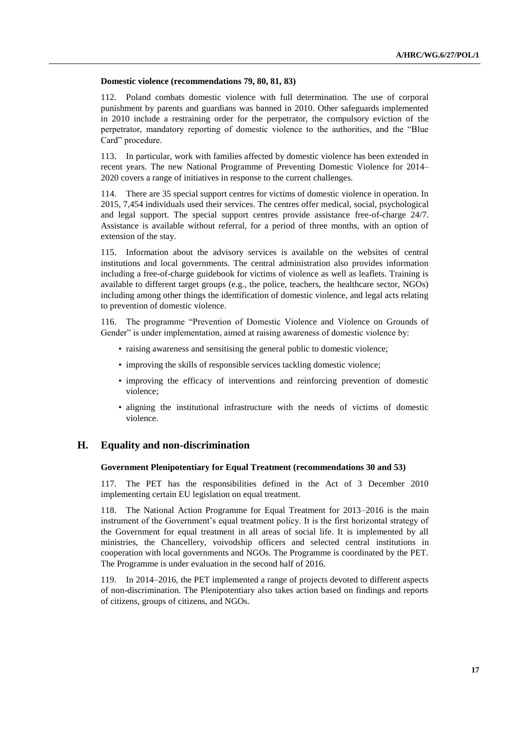#### **Domestic violence (recommendations 79, 80, 81, 83)**

112. Poland combats domestic violence with full determination. The use of corporal punishment by parents and guardians was banned in 2010. Other safeguards implemented in 2010 include a restraining order for the perpetrator, the compulsory eviction of the perpetrator, mandatory reporting of domestic violence to the authorities, and the "Blue Card" procedure.

113. In particular, work with families affected by domestic violence has been extended in recent years. The new National Programme of Preventing Domestic Violence for 2014– 2020 covers a range of initiatives in response to the current challenges.

114. There are 35 special support centres for victims of domestic violence in operation. In 2015, 7,454 individuals used their services. The centres offer medical, social, psychological and legal support. The special support centres provide assistance free-of-charge 24/7. Assistance is available without referral, for a period of three months, with an option of extension of the stay.

115. Information about the advisory services is available on the websites of central institutions and local governments. The central administration also provides information including a free-of-charge guidebook for victims of violence as well as leaflets. Training is available to different target groups (e.g., the police, teachers, the healthcare sector, NGOs) including among other things the identification of domestic violence, and legal acts relating to prevention of domestic violence.

116. The programme "Prevention of Domestic Violence and Violence on Grounds of Gender" is under implementation, aimed at raising awareness of domestic violence by:

- raising awareness and sensitising the general public to domestic violence;
- improving the skills of responsible services tackling domestic violence;
- improving the efficacy of interventions and reinforcing prevention of domestic violence;
- aligning the institutional infrastructure with the needs of victims of domestic violence.

## **H. Equality and non-discrimination**

#### **Government Plenipotentiary for Equal Treatment (recommendations 30 and 53)**

117. The PET has the responsibilities defined in the Act of 3 December 2010 implementing certain EU legislation on equal treatment.

118. The National Action Programme for Equal Treatment for 2013–2016 is the main instrument of the Government's equal treatment policy. It is the first horizontal strategy of the Government for equal treatment in all areas of social life. It is implemented by all ministries, the Chancellery, voivodship officers and selected central institutions in cooperation with local governments and NGOs. The Programme is coordinated by the PET. The Programme is under evaluation in the second half of 2016.

119. In 2014–2016, the PET implemented a range of projects devoted to different aspects of non-discrimination. The Plenipotentiary also takes action based on findings and reports of citizens, groups of citizens, and NGOs.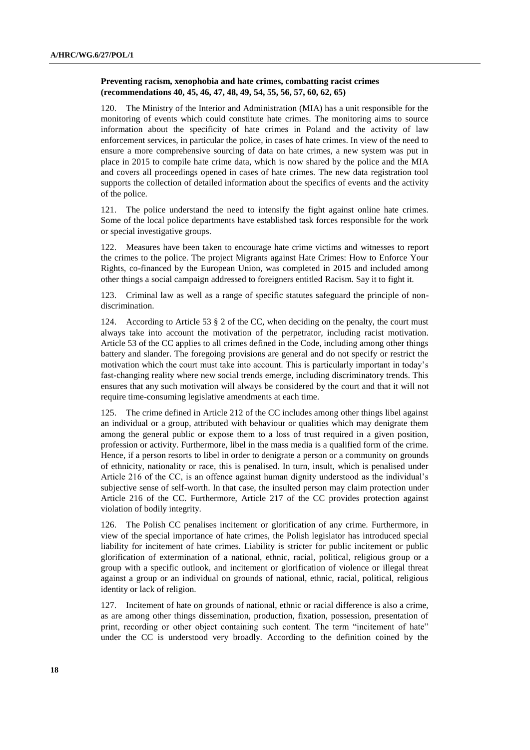## **Preventing racism, xenophobia and hate crimes, combatting racist crimes (recommendations 40, 45, 46, 47, 48, 49, 54, 55, 56, 57, 60, 62, 65)**

120. The Ministry of the Interior and Administration (MIA) has a unit responsible for the monitoring of events which could constitute hate crimes. The monitoring aims to source information about the specificity of hate crimes in Poland and the activity of law enforcement services, in particular the police, in cases of hate crimes. In view of the need to ensure a more comprehensive sourcing of data on hate crimes, a new system was put in place in 2015 to compile hate crime data, which is now shared by the police and the MIA and covers all proceedings opened in cases of hate crimes. The new data registration tool supports the collection of detailed information about the specifics of events and the activity of the police.

121. The police understand the need to intensify the fight against online hate crimes. Some of the local police departments have established task forces responsible for the work or special investigative groups.

122. Measures have been taken to encourage hate crime victims and witnesses to report the crimes to the police. The project Migrants against Hate Crimes: How to Enforce Your Rights, co-financed by the European Union, was completed in 2015 and included among other things a social campaign addressed to foreigners entitled Racism. Say it to fight it.

123. Criminal law as well as a range of specific statutes safeguard the principle of nondiscrimination.

124. According to Article 53 § 2 of the CC, when deciding on the penalty, the court must always take into account the motivation of the perpetrator, including racist motivation. Article 53 of the CC applies to all crimes defined in the Code, including among other things battery and slander. The foregoing provisions are general and do not specify or restrict the motivation which the court must take into account. This is particularly important in today's fast-changing reality where new social trends emerge, including discriminatory trends. This ensures that any such motivation will always be considered by the court and that it will not require time-consuming legislative amendments at each time.

125. The crime defined in Article 212 of the CC includes among other things libel against an individual or a group, attributed with behaviour or qualities which may denigrate them among the general public or expose them to a loss of trust required in a given position, profession or activity. Furthermore, libel in the mass media is a qualified form of the crime. Hence, if a person resorts to libel in order to denigrate a person or a community on grounds of ethnicity, nationality or race, this is penalised. In turn, insult, which is penalised under Article 216 of the CC, is an offence against human dignity understood as the individual's subjective sense of self-worth. In that case, the insulted person may claim protection under Article 216 of the CC. Furthermore, Article 217 of the CC provides protection against violation of bodily integrity.

126. The Polish CC penalises incitement or glorification of any crime. Furthermore, in view of the special importance of hate crimes, the Polish legislator has introduced special liability for incitement of hate crimes. Liability is stricter for public incitement or public glorification of extermination of a national, ethnic, racial, political, religious group or a group with a specific outlook, and incitement or glorification of violence or illegal threat against a group or an individual on grounds of national, ethnic, racial, political, religious identity or lack of religion.

127. Incitement of hate on grounds of national, ethnic or racial difference is also a crime, as are among other things dissemination, production, fixation, possession, presentation of print, recording or other object containing such content. The term "incitement of hate" under the CC is understood very broadly. According to the definition coined by the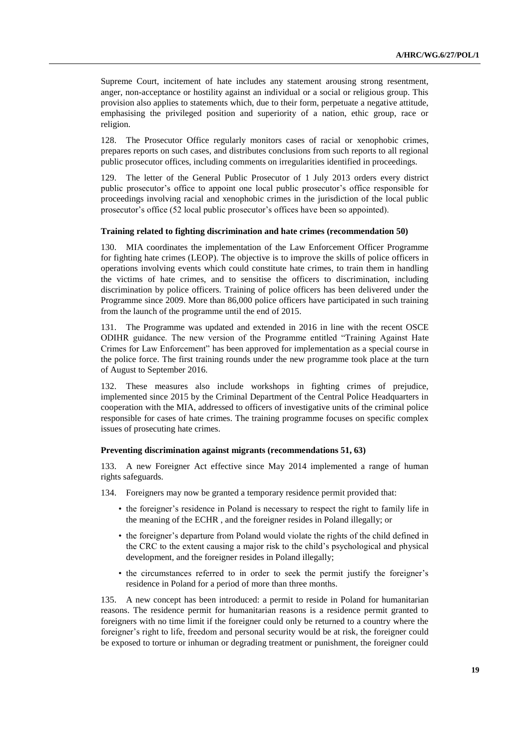Supreme Court, incitement of hate includes any statement arousing strong resentment, anger, non-acceptance or hostility against an individual or a social or religious group. This provision also applies to statements which, due to their form, perpetuate a negative attitude, emphasising the privileged position and superiority of a nation, ethic group, race or religion.

128. The Prosecutor Office regularly monitors cases of racial or xenophobic crimes, prepares reports on such cases, and distributes conclusions from such reports to all regional public prosecutor offices, including comments on irregularities identified in proceedings.

The letter of the General Public Prosecutor of 1 July 2013 orders every district public prosecutor's office to appoint one local public prosecutor's office responsible for proceedings involving racial and xenophobic crimes in the jurisdiction of the local public prosecutor's office (52 local public prosecutor's offices have been so appointed).

#### **Training related to fighting discrimination and hate crimes (recommendation 50)**

130. MIA coordinates the implementation of the Law Enforcement Officer Programme for fighting hate crimes (LEOP). The objective is to improve the skills of police officers in operations involving events which could constitute hate crimes, to train them in handling the victims of hate crimes, and to sensitise the officers to discrimination, including discrimination by police officers. Training of police officers has been delivered under the Programme since 2009. More than 86,000 police officers have participated in such training from the launch of the programme until the end of 2015.

131. The Programme was updated and extended in 2016 in line with the recent OSCE ODIHR guidance. The new version of the Programme entitled "Training Against Hate Crimes for Law Enforcement" has been approved for implementation as a special course in the police force. The first training rounds under the new programme took place at the turn of August to September 2016.

132. These measures also include workshops in fighting crimes of prejudice, implemented since 2015 by the Criminal Department of the Central Police Headquarters in cooperation with the MIA, addressed to officers of investigative units of the criminal police responsible for cases of hate crimes. The training programme focuses on specific complex issues of prosecuting hate crimes.

#### **Preventing discrimination against migrants (recommendations 51, 63)**

133. A new Foreigner Act effective since May 2014 implemented a range of human rights safeguards.

- 134. Foreigners may now be granted a temporary residence permit provided that:
	- the foreigner's residence in Poland is necessary to respect the right to family life in the meaning of the ECHR , and the foreigner resides in Poland illegally; or
	- the foreigner's departure from Poland would violate the rights of the child defined in the CRC to the extent causing a major risk to the child's psychological and physical development, and the foreigner resides in Poland illegally;
	- the circumstances referred to in order to seek the permit justify the foreigner's residence in Poland for a period of more than three months.

135. A new concept has been introduced: a permit to reside in Poland for humanitarian reasons. The residence permit for humanitarian reasons is a residence permit granted to foreigners with no time limit if the foreigner could only be returned to a country where the foreigner's right to life, freedom and personal security would be at risk, the foreigner could be exposed to torture or inhuman or degrading treatment or punishment, the foreigner could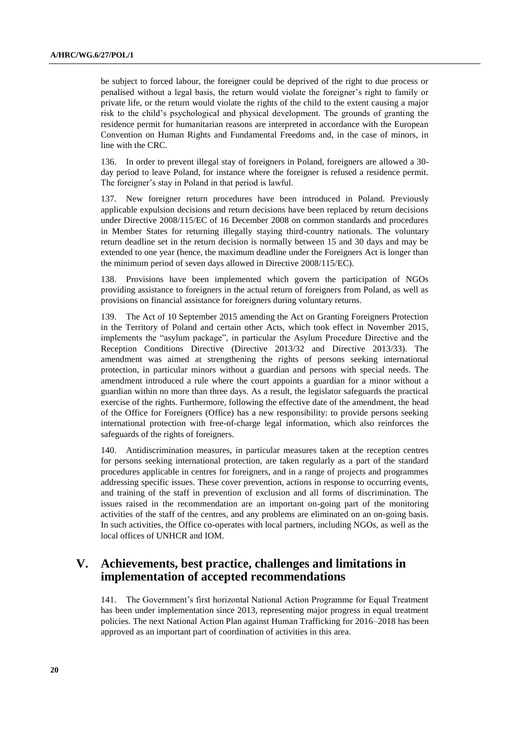be subject to forced labour, the foreigner could be deprived of the right to due process or penalised without a legal basis, the return would violate the foreigner's right to family or private life, or the return would violate the rights of the child to the extent causing a major risk to the child's psychological and physical development. The grounds of granting the residence permit for humanitarian reasons are interpreted in accordance with the European Convention on Human Rights and Fundamental Freedoms and, in the case of minors, in line with the CRC.

136. In order to prevent illegal stay of foreigners in Poland, foreigners are allowed a 30 day period to leave Poland, for instance where the foreigner is refused a residence permit. The foreigner's stay in Poland in that period is lawful.

137. New foreigner return procedures have been introduced in Poland. Previously applicable expulsion decisions and return decisions have been replaced by return decisions under Directive 2008/115/EC of 16 December 2008 on common standards and procedures in Member States for returning illegally staying third-country nationals. The voluntary return deadline set in the return decision is normally between 15 and 30 days and may be extended to one year (hence, the maximum deadline under the Foreigners Act is longer than the minimum period of seven days allowed in Directive 2008/115/EC).

138. Provisions have been implemented which govern the participation of NGOs providing assistance to foreigners in the actual return of foreigners from Poland, as well as provisions on financial assistance for foreigners during voluntary returns.

139. The Act of 10 September 2015 amending the Act on Granting Foreigners Protection in the Territory of Poland and certain other Acts, which took effect in November 2015, implements the "asylum package", in particular the Asylum Procedure Directive and the Reception Conditions Directive (Directive 2013/32 and Directive 2013/33). The amendment was aimed at strengthening the rights of persons seeking international protection, in particular minors without a guardian and persons with special needs. The amendment introduced a rule where the court appoints a guardian for a minor without a guardian within no more than three days. As a result, the legislator safeguards the practical exercise of the rights. Furthermore, following the effective date of the amendment, the head of the Office for Foreigners (Office) has a new responsibility: to provide persons seeking international protection with free-of-charge legal information, which also reinforces the safeguards of the rights of foreigners.

140. Antidiscrimination measures, in particular measures taken at the reception centres for persons seeking international protection, are taken regularly as a part of the standard procedures applicable in centres for foreigners, and in a range of projects and programmes addressing specific issues. These cover prevention, actions in response to occurring events, and training of the staff in prevention of exclusion and all forms of discrimination. The issues raised in the recommendation are an important on-going part of the monitoring activities of the staff of the centres, and any problems are eliminated on an on-going basis. In such activities, the Office co-operates with local partners, including NGOs, as well as the local offices of UNHCR and IOM.

# **V. Achievements, best practice, challenges and limitations in implementation of accepted recommendations**

141. The Government's first horizontal National Action Programme for Equal Treatment has been under implementation since 2013, representing major progress in equal treatment policies. The next National Action Plan against Human Trafficking for 2016–2018 has been approved as an important part of coordination of activities in this area.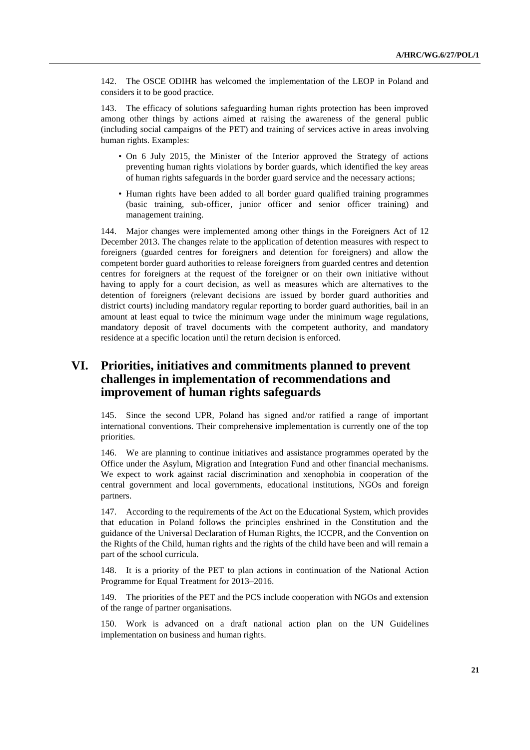142. The OSCE ODIHR has welcomed the implementation of the LEOP in Poland and considers it to be good practice.

143. The efficacy of solutions safeguarding human rights protection has been improved among other things by actions aimed at raising the awareness of the general public (including social campaigns of the PET) and training of services active in areas involving human rights. Examples:

- On 6 July 2015, the Minister of the Interior approved the Strategy of actions preventing human rights violations by border guards, which identified the key areas of human rights safeguards in the border guard service and the necessary actions;
- Human rights have been added to all border guard qualified training programmes (basic training, sub-officer, junior officer and senior officer training) and management training.

144. Major changes were implemented among other things in the Foreigners Act of 12 December 2013. The changes relate to the application of detention measures with respect to foreigners (guarded centres for foreigners and detention for foreigners) and allow the competent border guard authorities to release foreigners from guarded centres and detention centres for foreigners at the request of the foreigner or on their own initiative without having to apply for a court decision, as well as measures which are alternatives to the detention of foreigners (relevant decisions are issued by border guard authorities and district courts) including mandatory regular reporting to border guard authorities, bail in an amount at least equal to twice the minimum wage under the minimum wage regulations, mandatory deposit of travel documents with the competent authority, and mandatory residence at a specific location until the return decision is enforced.

# **VI. Priorities, initiatives and commitments planned to prevent challenges in implementation of recommendations and improvement of human rights safeguards**

145. Since the second UPR, Poland has signed and/or ratified a range of important international conventions. Their comprehensive implementation is currently one of the top priorities.

146. We are planning to continue initiatives and assistance programmes operated by the Office under the Asylum, Migration and Integration Fund and other financial mechanisms. We expect to work against racial discrimination and xenophobia in cooperation of the central government and local governments, educational institutions, NGOs and foreign partners.

147. According to the requirements of the Act on the Educational System, which provides that education in Poland follows the principles enshrined in the Constitution and the guidance of the Universal Declaration of Human Rights, the ICCPR, and the Convention on the Rights of the Child, human rights and the rights of the child have been and will remain a part of the school curricula.

148. It is a priority of the PET to plan actions in continuation of the National Action Programme for Equal Treatment for 2013–2016.

149. The priorities of the PET and the PCS include cooperation with NGOs and extension of the range of partner organisations.

150. Work is advanced on a draft national action plan on the UN Guidelines implementation on business and human rights.